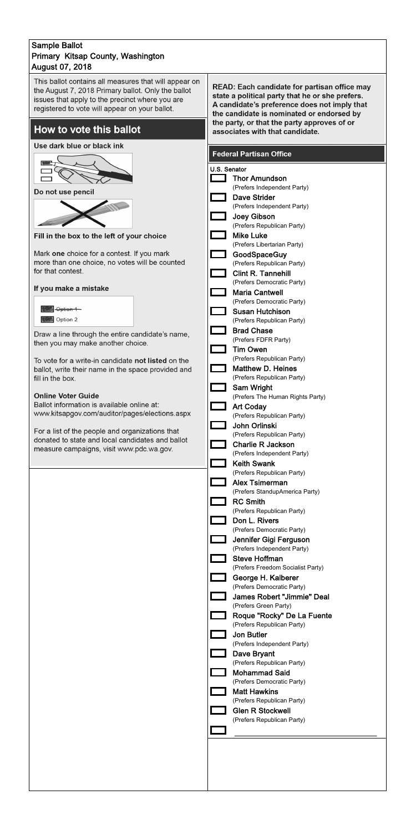### **Sample Ballot** Primary Kitsap County, Washington **August 07, 2018**

This ballot contains all measures that will appear on the August 7, 2018 Primary ballot. Only the ballot issues that apply to the precinct where you are registered to vote will appear on your ballot.

## How to vote this ballot

### Use dark blue or black ink



 $\sqrt{ }$ 



| Option 1 |
|----------|
| Option 2 |

READ: Each candidate for partisan office may state a political party that he or she prefers. A candidate's preference does not imply that the candidate is nominated or endorsed by the party, or that the party approves of or associates with that candidate.

### **Federal Partisan Office**

|                                                                                                     | U.S. Senator                                               |
|-----------------------------------------------------------------------------------------------------|------------------------------------------------------------|
|                                                                                                     | <b>Thor Amundson</b>                                       |
| Do not use pencil                                                                                   | (Prefers Independent Party)                                |
|                                                                                                     | <b>Dave Strider</b><br>(Prefers Independent Party)         |
|                                                                                                     | Joey Gibson                                                |
|                                                                                                     | (Prefers Republican Party)<br><b>Mike Luke</b>             |
| Fill in the box to the left of your choice                                                          | (Prefers Libertarian Party)                                |
| Mark one choice for a contest. If you mark                                                          | GoodSpaceGuy                                               |
| more than one choice, no votes will be counted<br>for that contest.                                 | (Prefers Republican Party)<br><b>Clint R. Tannehill</b>    |
|                                                                                                     | (Prefers Democratic Party)                                 |
| If you make a mistake                                                                               | <b>Maria Cantwell</b>                                      |
| <del>- Option 1</del>                                                                               | (Prefers Democratic Party)<br><b>Susan Hutchison</b>       |
| Option 2                                                                                            | (Prefers Republican Party)                                 |
| Draw a line through the entire candidate's name,                                                    | <b>Brad Chase</b>                                          |
| then you may make another choice.                                                                   | (Prefers FDFR Party)<br><b>Tim Owen</b>                    |
| To vote for a write-in candidate not listed on the                                                  | (Prefers Republican Party)                                 |
| ballot, write their name in the space provided and                                                  | <b>Matthew D. Heines</b>                                   |
| fill in the box.                                                                                    | (Prefers Republican Party)<br>Sam Wright                   |
| <b>Online Voter Guide</b>                                                                           | (Prefers The Human Rights Party)                           |
| Ballot information is available online at:<br>www.kitsapgov.com/auditor/pages/elections.aspx        | <b>Art Coday</b>                                           |
|                                                                                                     | (Prefers Republican Party)<br>John Orlinski                |
| For a list of the people and organizations that<br>donated to state and local candidates and ballot | (Prefers Republican Party)                                 |
| measure campaigns, visit www.pdc.wa.gov.                                                            | <b>Charlie R Jackson</b>                                   |
|                                                                                                     | (Prefers Independent Party)<br><b>Keith Swank</b>          |
|                                                                                                     | (Prefers Republican Party)                                 |
|                                                                                                     | <b>Alex Tsimerman</b><br>(Prefers StandupAmerica Party)    |
|                                                                                                     | <b>RC Smith</b>                                            |
|                                                                                                     | (Prefers Republican Party)                                 |
|                                                                                                     | Don L. Rivers<br>(Prefers Democratic Party)                |
|                                                                                                     | Jennifer Gigi Ferguson                                     |
|                                                                                                     | (Prefers Independent Party)                                |
|                                                                                                     | <b>Steve Hoffman</b><br>(Prefers Freedom Socialist Party)  |
|                                                                                                     | George H. Kalberer                                         |
|                                                                                                     | (Prefers Democratic Party)                                 |
|                                                                                                     | <b>James Robert "Jimmie" Deal</b><br>(Prefers Green Party) |
|                                                                                                     | Roque "Rocky" De La Fuente                                 |
|                                                                                                     | (Prefers Republican Party)                                 |
|                                                                                                     | <b>Jon Butler</b><br>(Prefers Independent Party)           |
|                                                                                                     | Dave Bryant                                                |
|                                                                                                     | (Prefers Republican Party)<br><b>Mohammad Said</b>         |
|                                                                                                     | (Prefers Democratic Party)                                 |
|                                                                                                     | <b>Matt Hawkins</b>                                        |
|                                                                                                     | (Prefers Republican Party)<br><b>Glen R Stockwell</b>      |
|                                                                                                     | (Prefers Republican Party)                                 |
|                                                                                                     |                                                            |
|                                                                                                     |                                                            |
|                                                                                                     |                                                            |
|                                                                                                     |                                                            |
|                                                                                                     |                                                            |